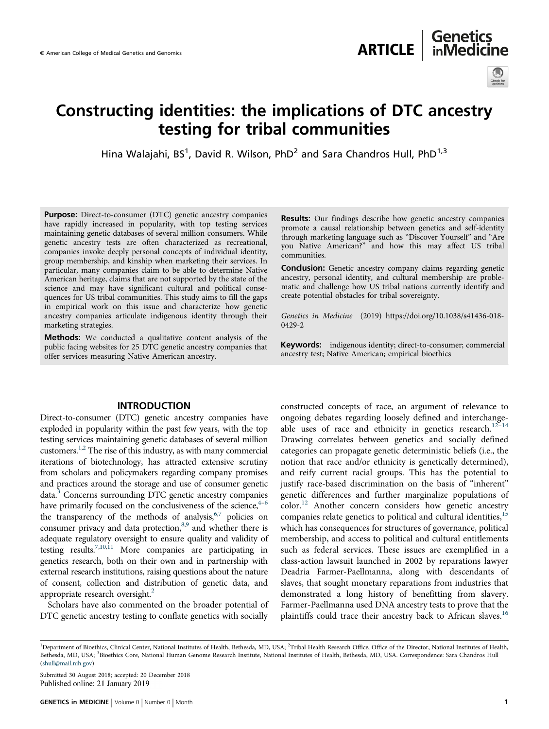## Genetics<br>inMedicine  $\circ$  American College of Medical Genetics and Genomics  $\blacksquare$



## Constructing identities: the implications of DTC ancestry testing for tribal communities

Hina Walajahi, BS<sup>1</sup>, David R. Wilson, PhD<sup>2</sup> and Sara Chandros Hull, PhD<sup>1,3</sup>

Purpose: Direct-to-consumer (DTC) genetic ancestry companies have rapidly increased in popularity, with top testing services maintaining genetic databases of several million consumers. While genetic ancestry tests are often characterized as recreational, companies invoke deeply personal concepts of individual identity, group membership, and kinship when marketing their services. In particular, many companies claim to be able to determine Native American heritage, claims that are not supported by the state of the science and may have significant cultural and political consequences for US tribal communities. This study aims to fill the gaps in empirical work on this issue and characterize how genetic ancestry companies articulate indigenous identity through their marketing strategies.

Methods: We conducted a qualitative content analysis of the public facing websites for 25 DTC genetic ancestry companies that offer services measuring Native American ancestry.

## INTRODUCTION

Direct-to-consumer (DTC) genetic ancestry companies have exploded in popularity within the past few years, with the top testing services maintaining genetic databases of several million customers.[1](#page-6-0),[2](#page-6-0) The rise of this industry, as with many commercial iterations of biotechnology, has attracted extensive scrutiny from scholars and policymakers regarding company promises and practices around the storage and use of consumer genetic data[.3](#page-6-0) Concerns surrounding DTC genetic ancestry companies have primarily focused on the conclusiveness of the science,  $4-6$  $4-6$ the transparency of the methods of analysis,  $67$  policies on consumer privacy and data protection,<sup>[8](#page-6-0),[9](#page-6-0)</sup> and whether there is adequate regulatory oversight to ensure quality and validity of testing results.<sup>7,10,11</sup> More companies are participating in genetics research, both on their own and in partnership with external research institutions, raising questions about the nature of consent, collection and distribution of genetic data, and appropriate research oversight.<sup>2</sup>

Scholars have also commented on the broader potential of DTC genetic ancestry testing to conflate genetics with socially

Results: Our findings describe how genetic ancestry companies promote a causal relationship between genetics and self-identity through marketing language such as "Discover Yourself" and "Are you Native American?" and how this may affect US tribal communities.

**Conclusion:** Genetic ancestry company claims regarding genetic ancestry, personal identity, and cultural membership are problematic and challenge how US tribal nations currently identify and create potential obstacles for tribal sovereignty.

Genetics in Medicine (2019) https://doi.org/10.1038/s41436-018- 0429-2

Keywords: indigenous identity; direct-to-consumer; commercial ancestry test; Native American; empirical bioethics

constructed concepts of race, an argument of relevance to ongoing debates regarding loosely defined and interchange-able uses of race and ethnicity in genetics research.<sup>[12](#page-6-0)-[14](#page-6-0)</sup> Drawing correlates between genetics and socially defined categories can propagate genetic deterministic beliefs (i.e., the notion that race and/or ethnicity is genetically determined), and reify current racial groups. This has the potential to justify race-based discrimination on the basis of "inherent" genetic differences and further marginalize populations of color[.12](#page-6-0) Another concern considers how genetic ancestry companies relate genetics to political and cultural identities,<sup>[15](#page-6-0)</sup> which has consequences for structures of governance, political membership, and access to political and cultural entitlements such as federal services. These issues are exemplified in a class-action lawsuit launched in 2002 by reparations lawyer Deadria Farmer-Paellmanna, along with descendants of slaves, that sought monetary reparations from industries that demonstrated a long history of benefitting from slavery. Farmer-Paellmanna used DNA ancestry tests to prove that the plaintiffs could trace their ancestry back to African slaves.<sup>[16](#page-6-0)</sup>

Submitted 30 August 2018; accepted: 20 December 2018

<sup>&</sup>lt;sup>1</sup>Department of Bioethics, Clinical Center, National Institutes of Health, Bethesda, MD, USA; <sup>2</sup>Tribal Health Research Office, Office of the Director, National Institutes of Health, Bethesda, MD, USA; <sup>3</sup>Bioethics Core, National Human Genome Research Institute, National Institutes of Health, Bethesda, MD, USA. Correspondence: Sara Chandros Hull [\(shull@mail.nih.gov\)](mailto:shull@mail.nih.gov)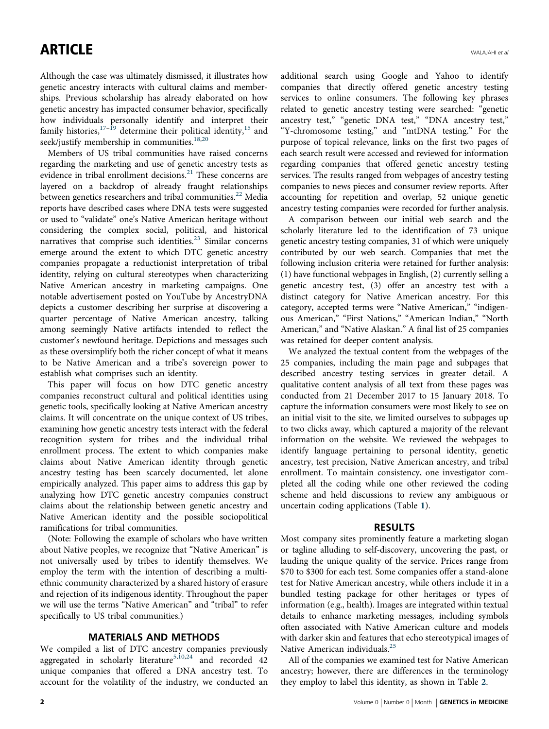## $\bm{\mathsf{ARTICE}}$  walayahi et al.

Although the case was ultimately dismissed, it illustrates how genetic ancestry interacts with cultural claims and memberships. Previous scholarship has already elaborated on how genetic ancestry has impacted consumer behavior, specifically how individuals personally identify and interpret their family histories,  $17-\hat{19}$  $17-\hat{19}$  $17-\hat{19}$  $17-\hat{19}$  determine their political identity,  $15$  and seek/justify membership in communities.<sup>[18](#page-6-0),[20](#page-6-0)</sup>

Members of US tribal communities have raised concerns regarding the marketing and use of genetic ancestry tests as evidence in tribal enrollment decisions.<sup>[21](#page-6-0)</sup> These concerns are layered on a backdrop of already fraught relationships between genetics researchers and tribal communities.<sup>[22](#page-6-0)</sup> Media reports have described cases where DNA tests were suggested or used to "validate" one's Native American heritage without considering the complex social, political, and historical narratives that comprise such identities.<sup>[23](#page-6-0)</sup> Similar concerns emerge around the extent to which DTC genetic ancestry companies propagate a reductionist interpretation of tribal identity, relying on cultural stereotypes when characterizing Native American ancestry in marketing campaigns. One notable advertisement posted on YouTube by AncestryDNA depicts a customer describing her surprise at discovering a quarter percentage of Native American ancestry, talking among seemingly Native artifacts intended to reflect the customer's newfound heritage. Depictions and messages such as these oversimplify both the richer concept of what it means to be Native American and a tribe's sovereign power to establish what comprises such an identity.

This paper will focus on how DTC genetic ancestry companies reconstruct cultural and political identities using genetic tools, specifically looking at Native American ancestry claims. It will concentrate on the unique context of US tribes, examining how genetic ancestry tests interact with the federal recognition system for tribes and the individual tribal enrollment process. The extent to which companies make claims about Native American identity through genetic ancestry testing has been scarcely documented, let alone empirically analyzed. This paper aims to address this gap by analyzing how DTC genetic ancestry companies construct claims about the relationship between genetic ancestry and Native American identity and the possible sociopolitical ramifications for tribal communities.

(Note: Following the example of scholars who have written about Native peoples, we recognize that "Native American" is not universally used by tribes to identify themselves. We employ the term with the intention of describing a multiethnic community characterized by a shared history of erasure and rejection of its indigenous identity. Throughout the paper we will use the terms "Native American" and "tribal" to refer specifically to US tribal communities.)

### MATERIALS AND METHODS

We compiled a list of DTC ancestry companies previously aggregated in scholarly literature<sup>[5,10](#page-6-0),[24](#page-6-0)</sup> and recorded 42 unique companies that offered a DNA ancestry test. To account for the volatility of the industry, we conducted an additional search using Google and Yahoo to identify companies that directly offered genetic ancestry testing services to online consumers. The following key phrases related to genetic ancestry testing were searched: "genetic ancestry test," "genetic DNA test," "DNA ancestry test," "Y-chromosome testing," and "mtDNA testing." For the purpose of topical relevance, links on the first two pages of each search result were accessed and reviewed for information regarding companies that offered genetic ancestry testing services. The results ranged from webpages of ancestry testing companies to news pieces and consumer review reports. After accounting for repetition and overlap, 52 unique genetic ancestry testing companies were recorded for further analysis.

A comparison between our initial web search and the scholarly literature led to the identification of 73 unique genetic ancestry testing companies, 31 of which were uniquely contributed by our web search. Companies that met the following inclusion criteria were retained for further analysis: (1) have functional webpages in English, (2) currently selling a genetic ancestry test, (3) offer an ancestry test with a distinct category for Native American ancestry. For this category, accepted terms were "Native American," "indigenous American," "First Nations," "American Indian," "North American," and "Native Alaskan." A final list of 25 companies was retained for deeper content analysis.

We analyzed the textual content from the webpages of the 25 companies, including the main page and subpages that described ancestry testing services in greater detail. A qualitative content analysis of all text from these pages was conducted from 21 December 2017 to 15 January 2018. To capture the information consumers were most likely to see on an initial visit to the site, we limited ourselves to subpages up to two clicks away, which captured a majority of the relevant information on the website. We reviewed the webpages to identify language pertaining to personal identity, genetic ancestry, test precision, Native American ancestry, and tribal enrollment. To maintain consistency, one investigator completed all the coding while one other reviewed the coding scheme and held discussions to review any ambiguous or uncertain coding applications (Table [1](#page-2-0)).

### RESULTS

Most company sites prominently feature a marketing slogan or tagline alluding to self-discovery, uncovering the past, or lauding the unique quality of the service. Prices range from \$70 to \$300 for each test. Some companies offer a stand-alone test for Native American ancestry, while others include it in a bundled testing package for other heritages or types of information (e.g., health). Images are integrated within textual details to enhance marketing messages, including symbols often associated with Native American culture and models with darker skin and features that echo stereotypical images of Native American individuals.[25](#page-6-0)

All of the companies we examined test for Native American ancestry; however, there are differences in the terminology they employ to label this identity, as shown in Table [2](#page-2-0).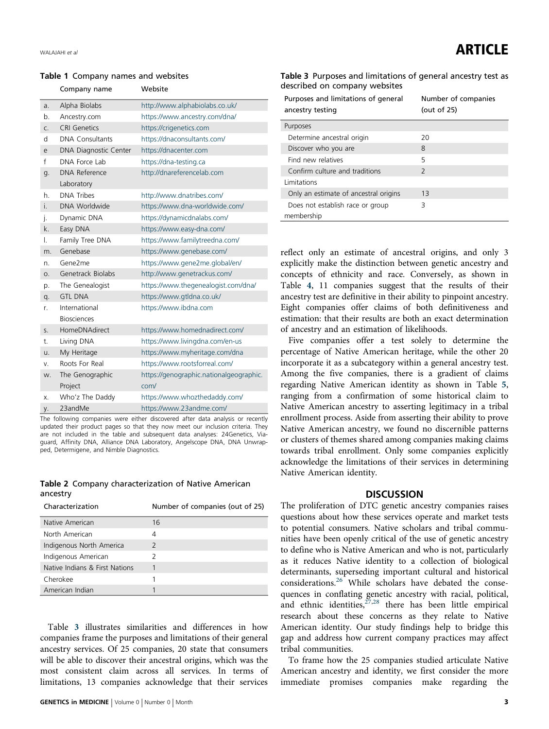### <span id="page-2-0"></span>Table 1 Company names and websites

|    | Company name                 | Website                                         |
|----|------------------------------|-------------------------------------------------|
| a. | Alpha Biolabs                | http://www.alphabiolabs.co.uk/                  |
| b. | Ancestry.com                 | https://www.ancestry.com/dna/                   |
| C. | <b>CRI Genetics</b>          | https://crigenetics.com                         |
| d  | <b>DNA Consultants</b>       | https://dnaconsultants.com/                     |
| e  | <b>DNA Diagnostic Center</b> | https://dnacenter.com                           |
| f  | DNA Force Lab                | https://dna-testing.ca                          |
| g. | DNA Reference<br>Laboratory  | http://dnareferencelab.com                      |
| h. | <b>DNA Tribes</b>            | http://www.dnatribes.com/                       |
| i. | <b>DNA Worldwide</b>         | https://www.dna-worldwide.com/                  |
| j. | Dynamic DNA                  | https://dynamicdnalabs.com/                     |
| k. | Easy DNA                     | https://www.easy-dna.com/                       |
| I. | Family Tree DNA              | https://www.familytreedna.com/                  |
| m. | Genebase                     | https://www.genebase.com/                       |
| n. | Gene2me                      | https://www.gene2me.global/en/                  |
| Ο. | Genetrack Biolabs            | http://www.genetrackus.com/                     |
| p. | The Genealogist              | https://www.thegenealogist.com/dna/             |
| q. | <b>GTL DNA</b>               | https://www.gtldna.co.uk/                       |
| r. | International                | https://www.ibdna.com                           |
|    | <b>Biosciences</b>           |                                                 |
| S. | HomeDNAdirect                | https://www.homednadirect.com/                  |
| t. | Living DNA                   | https://www.livingdna.com/en-us                 |
| u. | My Heritage                  | https://www.myheritage.com/dna                  |
| V. | Roots For Real               | https://www.rootsforreal.com/                   |
| W. | The Genographic<br>Project   | https://genographic.nationalgeographic.<br>com/ |
|    | Who'z The Daddy              | https://www.whozthedaddy.com/                   |
| Х. | 23andMe                      | https://www.23andme.com/                        |
| у. |                              |                                                 |

The following companies were either discovered after data analysis or recently updated their product pages so that they now meet our inclusion criteria. They are not included in the table and subsequent data analyses: 24Genetics, Viaguard, Affinity DNA, Alliance DNA Laboratory, Angelscope DNA, DNA Unwrapped, Determigene, and Nimble Diagnostics.

### Table 2 Company characterization of Native American ancestry

| Characterization               | Number of companies (out of 25) |  |
|--------------------------------|---------------------------------|--|
| Native American                | 16                              |  |
| North American                 | 4                               |  |
| Indigenous North America       | $\mathcal{L}$                   |  |
| Indigenous American            | 2                               |  |
| Native Indians & First Nations |                                 |  |
| Cherokee                       |                                 |  |
| American Indian                |                                 |  |

Table 3 illustrates similarities and differences in how companies frame the purposes and limitations of their general ancestry services. Of 25 companies, 20 state that consumers will be able to discover their ancestral origins, which was the most consistent claim across all services. In terms of limitations, 13 companies acknowledge that their services

### Table 3 Purposes and limitations of general ancestry test as described on company websites

| Purposes and limitations of general<br>ancestry testing | Number of companies<br>(out of $25$ ) |  |  |
|---------------------------------------------------------|---------------------------------------|--|--|
| Purposes                                                |                                       |  |  |
| Determine ancestral origin                              | 20                                    |  |  |
| Discover who you are                                    | 8                                     |  |  |
| Find new relatives                                      | 5                                     |  |  |
| Confirm culture and traditions                          | $\overline{\phantom{0}}$              |  |  |
| <b>Limitations</b>                                      |                                       |  |  |
| Only an estimate of ancestral origins                   | 13                                    |  |  |
| Does not establish race or group                        | ξ                                     |  |  |
| membership                                              |                                       |  |  |
|                                                         |                                       |  |  |

reflect only an estimate of ancestral origins, and only 3 explicitly make the distinction between genetic ancestry and concepts of ethnicity and race. Conversely, as shown in Table [4](#page-3-0), 11 companies suggest that the results of their ancestry test are definitive in their ability to pinpoint ancestry. Eight companies offer claims of both definitiveness and estimation: that their results are both an exact determination of ancestry and an estimation of likelihoods.

Five companies offer a test solely to determine the percentage of Native American heritage, while the other 20 incorporate it as a subcategory within a general ancestry test. Among the five companies, there is a gradient of claims regarding Native American identity as shown in Table [5](#page-3-0), ranging from a confirmation of some historical claim to Native American ancestry to asserting legitimacy in a tribal enrollment process. Aside from asserting their ability to prove Native American ancestry, we found no discernible patterns or clusters of themes shared among companies making claims towards tribal enrollment. Only some companies explicitly acknowledge the limitations of their services in determining Native American identity.

### **DISCUSSION**

The proliferation of DTC genetic ancestry companies raises questions about how these services operate and market tests to potential consumers. Native scholars and tribal communities have been openly critical of the use of genetic ancestry to define who is Native American and who is not, particularly as it reduces Native identity to a collection of biological determinants, superseding important cultural and historical considerations.<sup>[26](#page-6-0)</sup> While scholars have debated the consequences in conflating genetic ancestry with racial, political, and ethnic identities, $27,28$  there has been little empirical research about these concerns as they relate to Native American identity. Our study findings help to bridge this gap and address how current company practices may affect tribal communities.

To frame how the 25 companies studied articulate Native American ancestry and identity, we first consider the more immediate promises companies make regarding the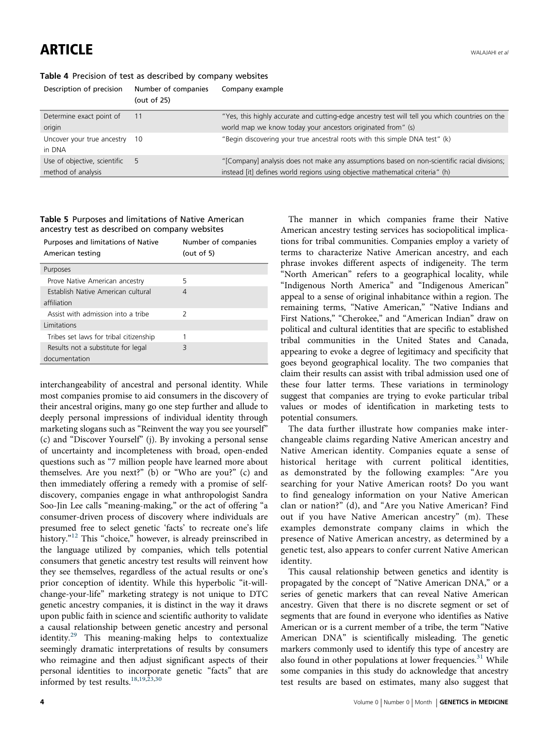# <span id="page-3-0"></span> $\bm{\mathsf{ARTICE}}$  walayahi et al.

### Table 4 Precision of test as described by company websites

| Description of precision Number of companies Company example |  |
|--------------------------------------------------------------|--|
| (out of $25$ )                                               |  |

| Determine exact point of             |      | "Yes, this highly accurate and cutting-edge ancestry test will tell you which countries on the |
|--------------------------------------|------|------------------------------------------------------------------------------------------------|
| origin                               |      | world map we know today your ancestors originated from" (s)                                    |
| Uncover your true ancestry<br>in DNA | - 10 | "Begin discovering your true ancestral roots with this simple DNA test" (k)                    |
| Use of objective, scientific         |      | "[Company] analysis does not make any assumptions based on non-scientific racial divisions;    |
| method of analysis                   |      | instead [it] defines world regions using objective mathematical criteria" (h)                  |

### Table 5 Purposes and limitations of Native American ancestry test as described on company websites

| Purposes and limitations of Native<br>American testing | Number of companies<br>(out of 5) |  |  |  |
|--------------------------------------------------------|-----------------------------------|--|--|--|
| Purposes                                               |                                   |  |  |  |
| Prove Native American ancestry                         | 5                                 |  |  |  |
| Establish Native American cultural                     | 4                                 |  |  |  |
| affiliation                                            |                                   |  |  |  |
| Assist with admission into a tribe                     | 2                                 |  |  |  |
| Limitations                                            |                                   |  |  |  |
| Tribes set laws for tribal citizenship                 |                                   |  |  |  |
| Results not a substitute for legal                     | 3                                 |  |  |  |
| documentation                                          |                                   |  |  |  |

interchangeability of ancestral and personal identity. While most companies promise to aid consumers in the discovery of their ancestral origins, many go one step further and allude to deeply personal impressions of individual identity through marketing slogans such as "Reinvent the way you see yourself" (c) and "Discover Yourself" (j). By invoking a personal sense of uncertainty and incompleteness with broad, open-ended questions such as "7 million people have learned more about themselves. Are you next?" (b) or "Who are you?" (c) and then immediately offering a remedy with a promise of selfdiscovery, companies engage in what anthropologist Sandra Soo-Jin Lee calls "meaning-making," or the act of offering "a consumer-driven process of discovery where individuals are presumed free to select genetic 'facts' to recreate one's life history."<sup>[12](#page-6-0)</sup> This "choice," however, is already preinscribed in the language utilized by companies, which tells potential consumers that genetic ancestry test results will reinvent how they see themselves, regardless of the actual results or one's prior conception of identity. While this hyperbolic "it-willchange-your-life" marketing strategy is not unique to DTC genetic ancestry companies, it is distinct in the way it draws upon public faith in science and scientific authority to validate a causal relationship between genetic ancestry and personal identity.[29](#page-6-0) This meaning-making helps to contextualize seemingly dramatic interpretations of results by consumers who reimagine and then adjust significant aspects of their personal identities to incorporate genetic "facts" that are informed by test results. $^{18,19,\overline{2}3,30}$  $^{18,19,\overline{2}3,30}$  $^{18,19,\overline{2}3,30}$ 

The manner in which companies frame their Native American ancestry testing services has sociopolitical implications for tribal communities. Companies employ a variety of terms to characterize Native American ancestry, and each phrase invokes different aspects of indigeneity. The term "North American" refers to a geographical locality, while "Indigenous North America" and "Indigenous American" appeal to a sense of original inhabitance within a region. The remaining terms, "Native American," "Native Indians and First Nations," "Cherokee," and "American Indian" draw on political and cultural identities that are specific to established tribal communities in the United States and Canada, appearing to evoke a degree of legitimacy and specificity that goes beyond geographical locality. The two companies that claim their results can assist with tribal admission used one of these four latter terms. These variations in terminology suggest that companies are trying to evoke particular tribal values or modes of identification in marketing tests to potential consumers.

The data further illustrate how companies make interchangeable claims regarding Native American ancestry and Native American identity. Companies equate a sense of historical heritage with current political identities, as demonstrated by the following examples: "Are you searching for your Native American roots? Do you want to find genealogy information on your Native American clan or nation?" (d), and "Are you Native American? Find out if you have Native American ancestry" (m). These examples demonstrate company claims in which the presence of Native American ancestry, as determined by a genetic test, also appears to confer current Native American identity.

This causal relationship between genetics and identity is propagated by the concept of "Native American DNA," or a series of genetic markers that can reveal Native American ancestry. Given that there is no discrete segment or set of segments that are found in everyone who identifies as Native American or is a current member of a tribe, the term "Native American DNA" is scientifically misleading. The genetic markers commonly used to identify this type of ancestry are also found in other populations at lower frequencies. $31$  While some companies in this study do acknowledge that ancestry test results are based on estimates, many also suggest that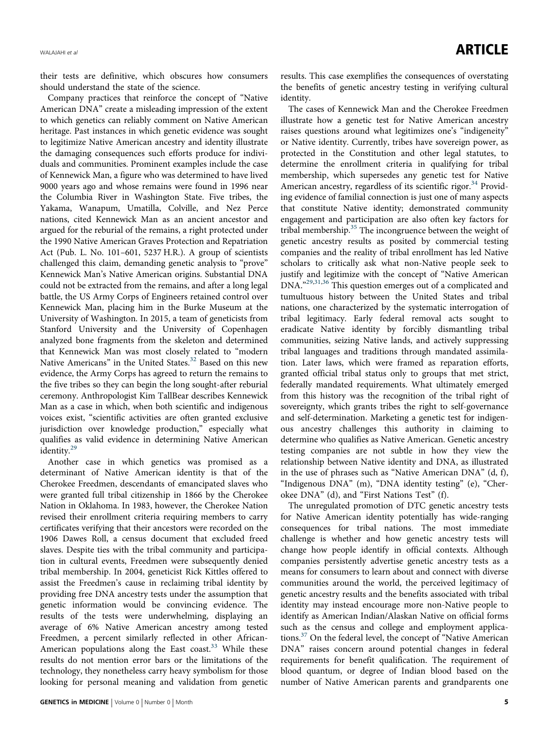WALAJAHI et al $\blacksquare$ 

their tests are definitive, which obscures how consumers should understand the state of the science.

Company practices that reinforce the concept of "Native American DNA" create a misleading impression of the extent to which genetics can reliably comment on Native American heritage. Past instances in which genetic evidence was sought to legitimize Native American ancestry and identity illustrate the damaging consequences such efforts produce for individuals and communities. Prominent examples include the case of Kennewick Man, a figure who was determined to have lived 9000 years ago and whose remains were found in 1996 near the Columbia River in Washington State. Five tribes, the Yakama, Wanapum, Umatilla, Colville, and Nez Perce nations, cited Kennewick Man as an ancient ancestor and argued for the reburial of the remains, a right protected under the 1990 Native American Graves Protection and Repatriation Act (Pub. L. No. 101–601, 5237 H.R.). A group of scientists challenged this claim, demanding genetic analysis to "prove" Kennewick Man's Native American origins. Substantial DNA could not be extracted from the remains, and after a long legal battle, the US Army Corps of Engineers retained control over Kennewick Man, placing him in the Burke Museum at the University of Washington. In 2015, a team of geneticists from Stanford University and the University of Copenhagen analyzed bone fragments from the skeleton and determined that Kennewick Man was most closely related to "modern Native Americans" in the United States.<sup>32</sup> Based on this new evidence, the Army Corps has agreed to return the remains to the five tribes so they can begin the long sought-after reburial ceremony. Anthropologist Kim TallBear describes Kennewick Man as a case in which, when both scientific and indigenous voices exist, "scientific activities are often granted exclusive jurisdiction over knowledge production," especially what qualifies as valid evidence in determining Native American identity.<sup>[29](#page-6-0)</sup>

Another case in which genetics was promised as a determinant of Native American identity is that of the Cherokee Freedmen, descendants of emancipated slaves who were granted full tribal citizenship in 1866 by the Cherokee Nation in Oklahoma. In 1983, however, the Cherokee Nation revised their enrollment criteria requiring members to carry certificates verifying that their ancestors were recorded on the 1906 Dawes Roll, a census document that excluded freed slaves. Despite ties with the tribal community and participation in cultural events, Freedmen were subsequently denied tribal membership. In 2004, geneticist Rick Kittles offered to assist the Freedmen's cause in reclaiming tribal identity by providing free DNA ancestry tests under the assumption that genetic information would be convincing evidence. The results of the tests were underwhelming, displaying an average of 6% Native American ancestry among tested Freedmen, a percent similarly reflected in other African-American populations along the East coast.<sup>[33](#page-6-0)</sup> While these results do not mention error bars or the limitations of the technology, they nonetheless carry heavy symbolism for those looking for personal meaning and validation from genetic results. This case exemplifies the consequences of overstating the benefits of genetic ancestry testing in verifying cultural identity.

The cases of Kennewick Man and the Cherokee Freedmen illustrate how a genetic test for Native American ancestry raises questions around what legitimizes one's "indigeneity" or Native identity. Currently, tribes have sovereign power, as protected in the Constitution and other legal statutes, to determine the enrollment criteria in qualifying for tribal membership, which supersedes any genetic test for Native American ancestry, regardless of its scientific rigor.<sup>[34](#page-6-0)</sup> Providing evidence of familial connection is just one of many aspects that constitute Native identity; demonstrated community engagement and participation are also often key factors for tribal membership.[35](#page-6-0) The incongruence between the weight of genetic ancestry results as posited by commercial testing companies and the reality of tribal enrollment has led Native scholars to critically ask what non-Native people seek to justify and legitimize with the concept of "Native American DNA." [29,31](#page-6-0),[36](#page-6-0) This question emerges out of a complicated and tumultuous history between the United States and tribal nations, one characterized by the systematic interrogation of tribal legitimacy. Early federal removal acts sought to eradicate Native identity by forcibly dismantling tribal communities, seizing Native lands, and actively suppressing tribal languages and traditions through mandated assimilation. Later laws, which were framed as reparation efforts, granted official tribal status only to groups that met strict, federally mandated requirements. What ultimately emerged from this history was the recognition of the tribal right of sovereignty, which grants tribes the right to self-governance and self-determination. Marketing a genetic test for indigenous ancestry challenges this authority in claiming to determine who qualifies as Native American. Genetic ancestry testing companies are not subtle in how they view the relationship between Native identity and DNA, as illustrated in the use of phrases such as "Native American DNA" (d, f), "Indigenous DNA" (m), "DNA identity testing" (e), "Cherokee DNA" (d), and "First Nations Test" (f).

The unregulated promotion of DTC genetic ancestry tests for Native American identity potentially has wide-ranging consequences for tribal nations. The most immediate challenge is whether and how genetic ancestry tests will change how people identify in official contexts. Although companies persistently advertise genetic ancestry tests as a means for consumers to learn about and connect with diverse communities around the world, the perceived legitimacy of genetic ancestry results and the benefits associated with tribal identity may instead encourage more non-Native people to identify as American Indian/Alaskan Native on official forms such as the census and college and employment applications[.37](#page-6-0) On the federal level, the concept of "Native American DNA" raises concern around potential changes in federal requirements for benefit qualification. The requirement of blood quantum, or degree of Indian blood based on the number of Native American parents and grandparents one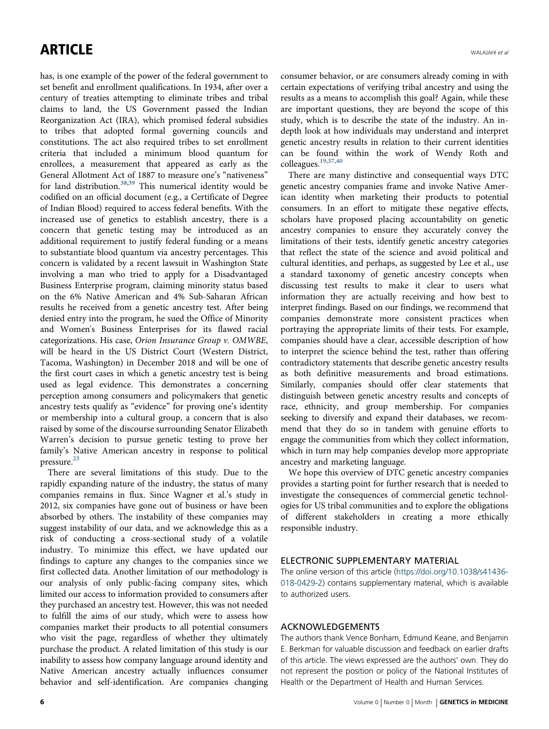## $\bm{\mathsf{ARTICE}}$  walayahi et al.

has, is one example of the power of the federal government to set benefit and enrollment qualifications. In 1934, after over a century of treaties attempting to eliminate tribes and tribal claims to land, the US Government passed the Indian Reorganization Act (IRA), which promised federal subsidies to tribes that adopted formal governing councils and constitutions. The act also required tribes to set enrollment criteria that included a minimum blood quantum for enrollees, a measurement that appeared as early as the General Allotment Act of 1887 to measure one's "nativeness" for land distribution.<sup>[38,39](#page-6-0)</sup> This numerical identity would be codified on an official document (e.g., a Certificate of Degree of Indian Blood) required to access federal benefits. With the increased use of genetics to establish ancestry, there is a concern that genetic testing may be introduced as an additional requirement to justify federal funding or a means to substantiate blood quantum via ancestry percentages. This concern is validated by a recent lawsuit in Washington State involving a man who tried to apply for a Disadvantaged Business Enterprise program, claiming minority status based on the 6% Native American and 4% Sub-Saharan African results he received from a genetic ancestry test. After being denied entry into the program, he sued the Office of Minority and Women's Business Enterprises for its flawed racial categorizations. His case, Orion Insurance Group v. OMWBE, will be heard in the US District Court (Western District, Tacoma, Washington) in December 2018 and will be one of the first court cases in which a genetic ancestry test is being used as legal evidence. This demonstrates a concerning perception among consumers and policymakers that genetic ancestry tests qualify as "evidence" for proving one's identity or membership into a cultural group, a concern that is also raised by some of the discourse surrounding Senator Elizabeth Warren's decision to pursue genetic testing to prove her family's Native American ancestry in response to political pressure.<sup>23</sup>

There are several limitations of this study. Due to the rapidly expanding nature of the industry, the status of many companies remains in flux. Since Wagner et al.'s study in 2012, six companies have gone out of business or have been absorbed by others. The instability of these companies may suggest instability of our data, and we acknowledge this as a risk of conducting a cross-sectional study of a volatile industry. To minimize this effect, we have updated our findings to capture any changes to the companies since we first collected data. Another limitation of our methodology is our analysis of only public-facing company sites, which limited our access to information provided to consumers after they purchased an ancestry test. However, this was not needed to fulfill the aims of our study, which were to assess how companies market their products to all potential consumers who visit the page, regardless of whether they ultimately purchase the product. A related limitation of this study is our inability to assess how company language around identity and Native American ancestry actually influences consumer behavior and self-identification. Are companies changing consumer behavior, or are consumers already coming in with certain expectations of verifying tribal ancestry and using the results as a means to accomplish this goal? Again, while these are important questions, they are beyond the scope of this study, which is to describe the state of the industry. An indepth look at how individuals may understand and interpret genetic ancestry results in relation to their current identities can be found within the work of Wendy Roth and colleagues[.19](#page-6-0),[37](#page-6-0),[40](#page-6-0)

There are many distinctive and consequential ways DTC genetic ancestry companies frame and invoke Native American identity when marketing their products to potential consumers. In an effort to mitigate these negative effects, scholars have proposed placing accountability on genetic ancestry companies to ensure they accurately convey the limitations of their tests, identify genetic ancestry categories that reflect the state of the science and avoid political and cultural identities, and perhaps, as suggested by Lee et al., use a standard taxonomy of genetic ancestry concepts when discussing test results to make it clear to users what information they are actually receiving and how best to interpret findings. Based on our findings, we recommend that companies demonstrate more consistent practices when portraying the appropriate limits of their tests. For example, companies should have a clear, accessible description of how to interpret the science behind the test, rather than offering contradictory statements that describe genetic ancestry results as both definitive measurements and broad estimations. Similarly, companies should offer clear statements that distinguish between genetic ancestry results and concepts of race, ethnicity, and group membership. For companies seeking to diversify and expand their databases, we recommend that they do so in tandem with genuine efforts to engage the communities from which they collect information, which in turn may help companies develop more appropriate ancestry and marketing language.

We hope this overview of DTC genetic ancestry companies provides a starting point for further research that is needed to investigate the consequences of commercial genetic technologies for US tribal communities and to explore the obligations of different stakeholders in creating a more ethically responsible industry.

### ELECTRONIC SUPPLEMENTARY MATERIAL

The online version of this article [\(https://doi.org/10.1038/s41436-](https://doi.org/10.1038/s41436-018-0429-2) [018-0429-2\)](https://doi.org/10.1038/s41436-018-0429-2) contains supplementary material, which is available to authorized users.

### ACKNOWLEDGEMENTS

The authors thank Vence Bonham, Edmund Keane, and Benjamin E. Berkman for valuable discussion and feedback on earlier drafts of this article. The views expressed are the authors' own. They do not represent the position or policy of the National Institutes of Health or the Department of Health and Human Services.